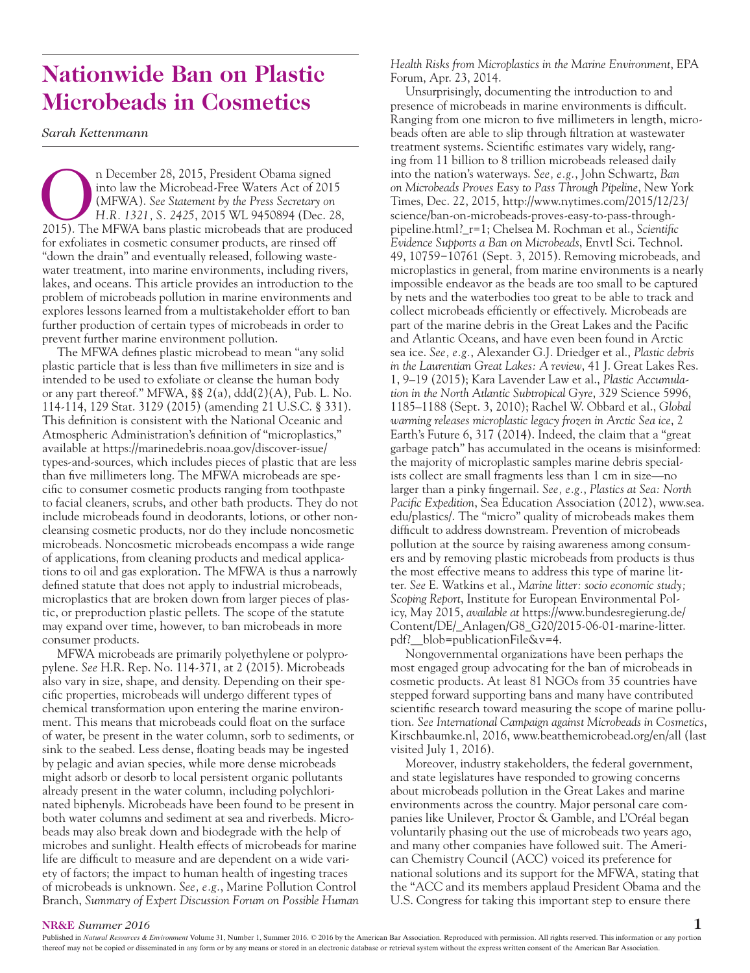## **Nationwide Ban on Plastic Microbeads in Cosmetics**

*Sarah Kettenmann*

n December 28, 2015, President Obama signed<br>into law the Microbead-Free Waters Act of 201<br>(MFWA). See Statement by the Press Secretary on<br>H.R. 1321, S. 2425, 2015 WL 9450894 (Dec. 2<br>2015). The MFWA bans plastic microbeads into law the Microbead-Free Waters Act of 2015 (MFWA). *See Statement by the Press Secretary on H.R. 1321, S. 2425*, 2015 WL 9450894 (Dec. 28, 2015). The MFWA bans plastic microbeads that are produced for exfoliates in cosmetic consumer products, are rinsed off "down the drain" and eventually released, following wastewater treatment, into marine environments, including rivers, lakes, and oceans. This article provides an introduction to the problem of microbeads pollution in marine environments and explores lessons learned from a multistakeholder effort to ban further production of certain types of microbeads in order to prevent further marine environment pollution.

The MFWA defines plastic microbead to mean "any solid plastic particle that is less than five millimeters in size and is intended to be used to exfoliate or cleanse the human body or any part thereof." MFWA, §§ 2(a), ddd(2)(A), Pub. L. No. 114-114, 129 Stat. 3129 (2015) (amending 21 U.S.C. § 331). This definition is consistent with the National Oceanic and Atmospheric Administration's definition of "microplastics," available at https://marinedebris.noaa.gov/discover-issue/ types-and-sources, which includes pieces of plastic that are less than five millimeters long. The MFWA microbeads are specific to consumer cosmetic products ranging from toothpaste to facial cleaners, scrubs, and other bath products. They do not include microbeads found in deodorants, lotions, or other noncleansing cosmetic products, nor do they include noncosmetic microbeads. Noncosmetic microbeads encompass a wide range of applications, from cleaning products and medical applications to oil and gas exploration. The MFWA is thus a narrowly defined statute that does not apply to industrial microbeads, microplastics that are broken down from larger pieces of plastic, or preproduction plastic pellets. The scope of the statute may expand over time, however, to ban microbeads in more consumer products.

MFWA microbeads are primarily polyethylene or polypropylene. *See* H.R. Rep. No. 114-371, at 2 (2015). Microbeads also vary in size, shape, and density. Depending on their specific properties, microbeads will undergo different types of chemical transformation upon entering the marine environment. This means that microbeads could float on the surface of water, be present in the water column, sorb to sediments, or sink to the seabed. Less dense, floating beads may be ingested by pelagic and avian species, while more dense microbeads might adsorb or desorb to local persistent organic pollutants already present in the water column, including polychlorinated biphenyls. Microbeads have been found to be present in both water columns and sediment at sea and riverbeds. Microbeads may also break down and biodegrade with the help of microbes and sunlight. Health effects of microbeads for marine life are difficult to measure and are dependent on a wide variety of factors; the impact to human health of ingesting traces of microbeads is unknown. *See, e.g.*, Marine Pollution Control Branch, *Summary of Expert Discussion Forum on Possible Human*  *Health Risks from Microplastics in the Marine Environment*, EPA Forum, Apr. 23, 2014.

Unsurprisingly, documenting the introduction to and presence of microbeads in marine environments is difficult. Ranging from one micron to five millimeters in length, microbeads often are able to slip through filtration at wastewater treatment systems. Scientific estimates vary widely, ranging from 11 billion to 8 trillion microbeads released daily into the nation's waterways. *See, e.g.*, John Schwartz, *Ban on Microbeads Proves Easy to Pass Through Pipeline*, New York Times, Dec. 22, 2015, http://www.nytimes.com/2015/12/23/ science/ban-on-microbeads-proves-easy-to-pass-throughpipeline.html?\_r=1; Chelsea M. Rochman et al., *Scientific Evidence Supports a Ban on Microbeads*, Envtl Sci. Technol. 49, 10759−10761 (Sept. 3, 2015). Removing microbeads, and microplastics in general, from marine environments is a nearly impossible endeavor as the beads are too small to be captured by nets and the waterbodies too great to be able to track and collect microbeads efficiently or effectively. Microbeads are part of the marine debris in the Great Lakes and the Pacific and Atlantic Oceans, and have even been found in Arctic sea ice. *See, e.g.*, Alexander G.J. Driedger et al., *Plastic debris in the Laurentian Great Lakes: A review*, 41 J. Great Lakes Res. 1, 9–19 (2015); Kara Lavender Law et al., *Plastic Accumulation in the North Atlantic Subtropical Gyre*, 329 Science 5996, 1185–1188 (Sept. 3, 2010); Rachel W. Obbard et al., *Global warming releases microplastic legacy frozen in Arctic Sea ice*, 2 Earth's Future 6, 317 (2014). Indeed, the claim that a "great garbage patch" has accumulated in the oceans is misinformed: the majority of microplastic samples marine debris specialists collect are small fragments less than 1 cm in size—no larger than a pinky fingernail. *See, e.g.*, *Plastics at Sea: North Pacific Expedition*, Sea Education Association (2012), www.sea. edu/plastics/. The "micro" quality of microbeads makes them difficult to address downstream. Prevention of microbeads pollution at the source by raising awareness among consumers and by removing plastic microbeads from products is thus the most effective means to address this type of marine litter. *See* E. Watkins et al., *Marine litter: socio economic study; Scoping Report*, Institute for European Environmental Policy, May 2015, *available at* https://www.bundesregierung.de/ Content/DE/\_Anlagen/G8\_G20/2015-06-01-marine-litter. pdf?\_\_blob=publicationFile&v=4.

Nongovernmental organizations have been perhaps the most engaged group advocating for the ban of microbeads in cosmetic products. At least 81 NGOs from 35 countries have stepped forward supporting bans and many have contributed scientific research toward measuring the scope of marine pollution. *See International Campaign against Microbeads in Cosmetics*, Kirschbaumke.nl, 2016, www.beatthemicrobead.org/en/all (last visited July 1, 2016).

Moreover, industry stakeholders, the federal government, and state legislatures have responded to growing concerns about microbeads pollution in the Great Lakes and marine environments across the country. Major personal care companies like Unilever, Proctor & Gamble, and L'Oréal began voluntarily phasing out the use of microbeads two years ago, and many other companies have followed suit. The American Chemistry Council (ACC) voiced its preference for national solutions and its support for the MFWA, stating that the "ACC and its members applaud President Obama and the U.S. Congress for taking this important step to ensure there

## **NR&E** *Summer 2016* **1**

Published in Natural Resources & Environment Volume 31, Number 1, Summer 2016. © 2016 by the American Bar Association. Reproduced with permission. All rights reserved. This information or any portion thereof may not be copied or disseminated in any form or by any means or stored in an electronic database or retrieval system without the express written consent of the American Bar Association.